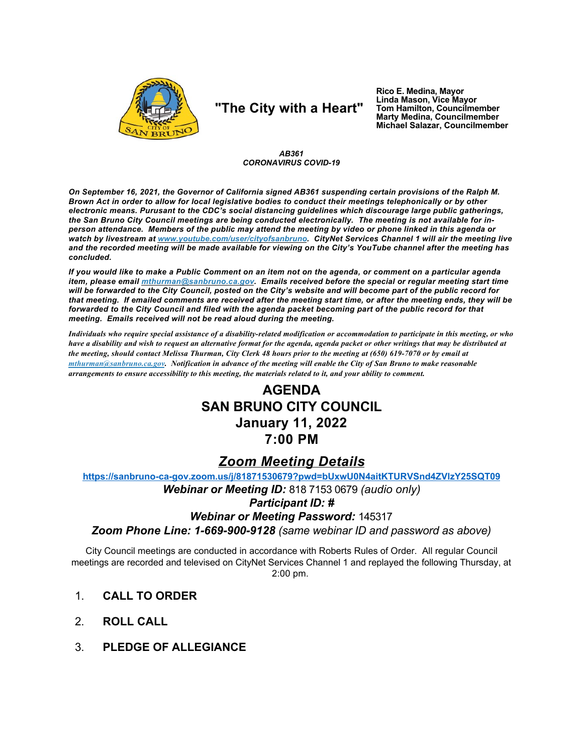

# "The City with a Heart"

Rico E. Medina, Mayor<br>Linda Mason, Vice Mayor Tom Hamilton, Councilmember<br>Marty Medina, Councilmember Michael Salazar, Councilmember

AB361 **CORONAVIRUS COVID-19** 

On September 16, 2021, the Governor of California signed AB361 suspending certain provisions of the Ralph M. Brown Act in order to allow for local legislative bodies to conduct their meetings telephonically or by other electronic means. Purusant to the CDC's social distancing guidelines which discourage large public gatherings, the San Bruno City Council meetings are being conducted electronically. The meeting is not available for inperson attendance. Members of the public may attend the meeting by video or phone linked in this agenda or watch by livestream at www.youtube.com/user/cityofsanbruno. CityNet Services Channel 1 will air the meeting live and the recorded meeting will be made available for viewing on the City's YouTube channel after the meeting has concluded.

If you would like to make a Public Comment on an item not on the agenda, or comment on a particular agenda item, please email mthurman@sanbruno.ca.gov. Emails received before the special or regular meeting start time will be forwarded to the City Council, posted on the City's website and will become part of the public record for that meeting. If emailed comments are received after the meeting start time, or after the meeting ends, they will be forwarded to the City Council and filed with the agenda packet becoming part of the public record for that meeting. Emails received will not be read aloud during the meeting.

Individuals who require special assistance of a disability-related modification or accommodation to participate in this meeting, or who have a disability and wish to request an alternative format for the agenda, agenda packet or other writings that may be distributed at the meeting, should contact Melissa Thurman, City Clerk 48 hours prior to the meeting at (650) 619-7070 or by email at mthurman@sanbruno.ca.gov. Notification in advance of the meeting will enable the City of San Bruno to make reasonable arrangements to ensure accessibility to this meeting, the materials related to it, and your ability to comment.

## **AGENDA SAN BRUNO CITY COUNCIL January 11, 2022** 7:00 PM

### **Zoom Meeting Details**

https://sanbruno-ca-gov.zoom.us/j/81871530679?pwd=bUxwU0N4aitKTURVSnd4ZVIzY25SQT09

Webinar or Meeting ID: 818 7153 0679 (audio only) **Participant ID: # Webinar or Meeting Password: 145317** 

Zoom Phone Line: 1-669-900-9128 (same webinar ID and password as above)

City Council meetings are conducted in accordance with Roberts Rules of Order. All regular Council meetings are recorded and televised on CityNet Services Channel 1 and replayed the following Thursday, at  $2:00$  pm.

- $1<sub>1</sub>$ **CALL TO ORDER**
- $\mathcal{P}$ **ROLL CALL**
- **PLEDGE OF ALLEGIANCE**  $3_{-}$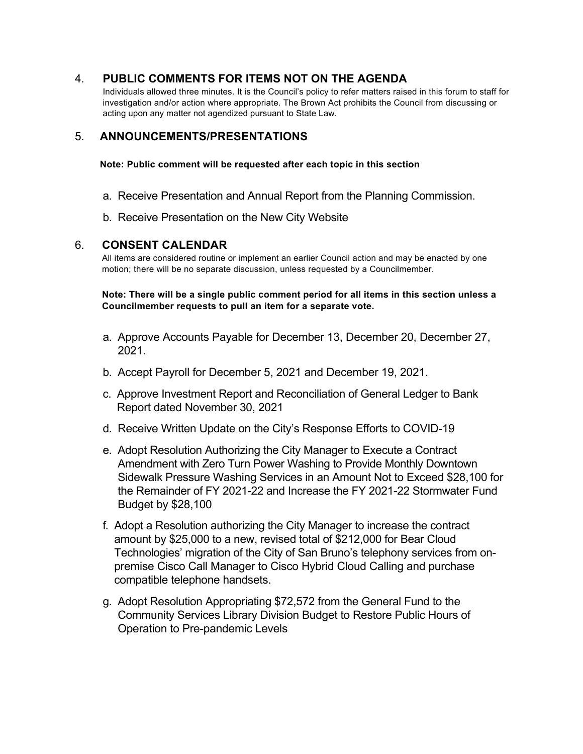#### $\overline{4}$ PUBLIC COMMENTS FOR ITEMS NOT ON THE AGENDA

Individuals allowed three minutes. It is the Council's policy to refer matters raised in this forum to staff for investigation and/or action where appropriate. The Brown Act prohibits the Council from discussing or acting upon any matter not agendized pursuant to State Law.

#### 5. **ANNOUNCEMENTS/PRESENTATIONS**

Note: Public comment will be requested after each topic in this section

- a. Receive Presentation and Annual Report from the Planning Commission.
- b. Receive Presentation on the New City Website

#### 6. **CONSENT CALENDAR**

All items are considered routine or implement an earlier Council action and may be enacted by one motion; there will be no separate discussion, unless requested by a Councilmember.

Note: There will be a single public comment period for all items in this section unless a Councilmember requests to pull an item for a separate vote.

- a. Approve Accounts Payable for December 13, December 20, December 27, 2021.
- b. Accept Payroll for December 5, 2021 and December 19, 2021.
- c. Approve Investment Report and Reconciliation of General Ledger to Bank Report dated November 30, 2021
- d. Receive Written Update on the City's Response Efforts to COVID-19
- e. Adopt Resolution Authorizing the City Manager to Execute a Contract Amendment with Zero Turn Power Washing to Provide Monthly Downtown Sidewalk Pressure Washing Services in an Amount Not to Exceed \$28,100 for the Remainder of FY 2021-22 and Increase the FY 2021-22 Stormwater Fund Budget by \$28,100
- f. Adopt a Resolution authorizing the City Manager to increase the contract amount by \$25,000 to a new, revised total of \$212,000 for Bear Cloud Technologies' migration of the City of San Bruno's telephony services from onpremise Cisco Call Manager to Cisco Hybrid Cloud Calling and purchase compatible telephone handsets.
- g. Adopt Resolution Appropriating \$72,572 from the General Fund to the Community Services Library Division Budget to Restore Public Hours of Operation to Pre-pandemic Levels